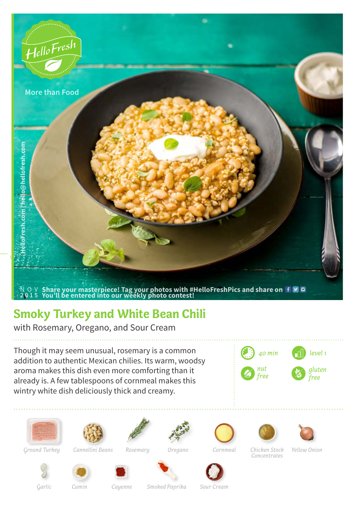

## **Smoky Turkey and White Bean Chili**

with Rosemary, Oregano, and Sour Cream

Though it may seem unusual, rosemary is a common addition to authentic Mexican chilies. Its warm, woodsy aroma makes this dish even more comforting than it already is. A few tablespoons of cornmeal makes this wintry white dish deliciously thick and creamy.

















*Ground Turkey*

*Cannellini Beans*

*Rosemary Oregano Cornmeal Chicken Stock* 



*Garlic*



*Concentrates*

*Yellow Onion*

*Cumin Cayenne Smoked Paprika Sour Cream*